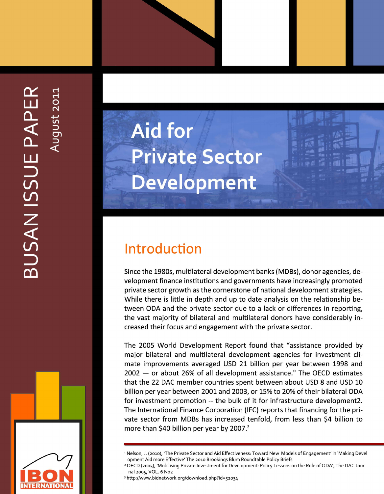

# **Aid for Private Sector** Development

# Introduction

Since the 1980s, multilateral development banks (MDBs), donor agencies, development finance institutions and governments have increasingly promoted private sector growth as the cornerstone of national development strategies. While there is little in depth and up to date analysis on the relationship between ODA and the private sector due to a lack or differences in reporting, the vast majority of bilateral and multilateral donors have considerably increased their focus and engagement with the private sector.

The 2005 World Development Report found that "assistance provided by major bilateral and multilateral development agencies for investment climate improvements averaged USD 21 billion per year between 1998 and 2002 - or about 26% of all development assistance." The OECD estimates that the 22 DAC member countries spent between about USD 8 and USD 10 billion per year between 2001 and 2003, or 15% to 20% of their bilateral ODA for investment promotion -- the bulk of it for infrastructure development2. The International Finance Corporation (IFC) reports that financing for the private sector from MDBs has increased tenfold, from less than \$4 billion to more than \$40 billion per year by 2007.<sup>3</sup>

<sup>2</sup> OECD (2005), 'Mobilising Private Investment for Development: Policy Lessons on the Role of ODA', The DAC Jour nal 2005, VOL. 6 No2

<sup>3</sup> http://www.bidnetwork.org/download.php?id=52034

<sup>&</sup>lt;sup>1</sup> Nelson, J. (2010), 'The Private Sector and Aid Effectiveness: Toward New Models of Engagement' in 'Making Devel opment Aid more Effective' The 2010 Brookings Blum Roundtable Policy Briefs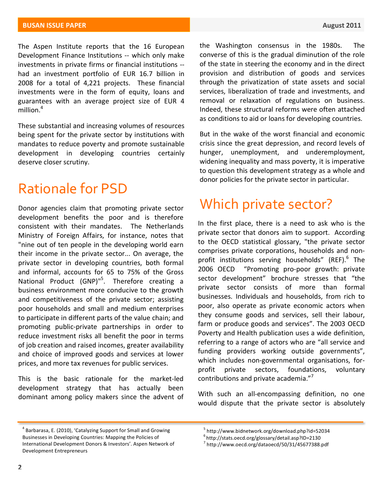The Aspen Institute reports that the 16 European Development Finance Institutions -- which only make investments in private firms or financial institutions -had an investment portfolio of EUR 16.7 billion in 2008 for a total of 4,221 projects. These financial investments were in the form of equity, loans and guarantees with an average project size of EUR 4 million.<sup>4</sup>

These substantial and increasing volumes of resources being spent for the private sector by institutions with mandates to reduce poverty and promote sustainable development in developing countries certainly deserve closer scrutiny.

#### Rationale for PSD

Donor agencies claim that promoting private sector development benefits the poor and is therefore consistent with their mandates. The Netherlands Ministry of Foreign Affairs, for instance, notes that "nine out of ten people in the developing world earn their income in the private sector... On average, the private sector in developing countries, both formal and informal, accounts for 65 to 75% of the Gross National Product (GNP)"<sup>5</sup>. Therefore creating a business environment more conducive to the growth and competitiveness of the private sector; assisting poor households and small and medium enterprises to participate in different parts of the value chain; and promoting public-private partnerships in order to reduce investment risks all benefit the poor in terms of job creation and raised incomes, greater availability and choice of improved goods and services at lower prices, and more tax revenues for public services.

This is the basic rationale for the market-led development strategy that has actually been dominant among policy makers since the advent of

the Washington consensus in the 1980s. The converse of this is the gradual diminution of the role of the state in steering the economy and in the direct provision and distribution of goods and services through the privatization of state assets and social services, liberalization of trade and investments, and removal or relaxation of regulations on business. Indeed, these structural reforms were often attached as conditions to aid or loans for developing countries.

But in the wake of the worst financial and economic crisis since the great depression, and record levels of hunger, unemployment, and underemployment, widening inequality and mass poverty, it is imperative to question this development strategy as a whole and donor policies for the private sector in particular.

### Which private sector?

In the first place, there is a need to ask who is the private sector that donors aim to support. According to the OECD statistical glossary, "the private sector comprises private corporations, households and nonprofit institutions serving households" (REF). $6$  The 2006 OECD "Promoting pro-poor growth: private sector development" brochure stresses that "the private sector consists of more than formal businesses. Individuals and households, from rich to poor, also operate as private economic actors when they consume goods and services, sell their labour, farm or produce goods and services". The 2003 OECD Poverty and Health publication uses a wide definition, referring to a range of actors who are "all service and funding providers working outside governments", which includes non-governmental organisations, forprofit private sectors, foundations, voluntary contributions and private academia."<sup>7</sup>

With such an all-encompassing definition, no one would dispute that the private sector is absolutely

 $4$  Barbarasa, E. (2010), 'Catalyzing Support for Small and Growing Businesses in Developing Countries: Mapping the Policies of International Development Donors & Investors'. Aspen Network of Development Entrepreneurs

<sup>5</sup> http://www.bidnetwork.org/download.php?id=52034

<sup>&</sup>lt;sup>6</sup>http://stats.oecd.org/glossary/detail.asp?ID=2130

<sup>7</sup> http://www.oecd.org/dataoecd/50/31/45677388.pdf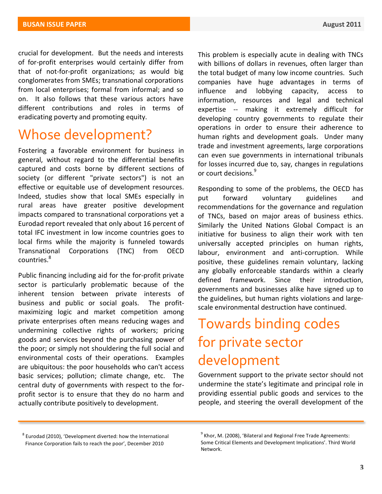crucial for development. But the needs and interests of for-profit enterprises would certainly differ from that of not-for-profit organizations; as would big conglomerates from SMEs; transnational corporations from local enterprises; formal from informal; and so on. It also follows that these various actors have different contributions and roles in terms of eradicating poverty and promoting equity.

#### Whose development?

Fostering a favorable environment for business in general, without regard to the differential benefits captured and costs borne by different sections of society (or different "private sectors") is not an effective or equitable use of development resources. Indeed, studies show that local SMEs especially in rural areas have greater positive development impacts compared to transnational corporations yet a Eurodad report revealed that only about 16 percent of total IFC investment in low income countries goes to local firms while the majority is funneled towards Transnational Corporations (TNC) from OECD countries.<sup>8</sup>

Public financing including aid for the for-profit private sector is particularly problematic because of the inherent tension between private interests of business and public or social goals. The profitmaximizing logic and market competition among private enterprises often means reducing wages and undermining collective rights of workers; pricing goods and services beyond the purchasing power of the poor; or simply not shouldering the full social and environmental costs of their operations. Examples are ubiquitous: the poor households who can't access basic services; pollution; climate change, etc. The central duty of governments with respect to the forprofit sector is to ensure that they do no harm and actually contribute positively to development.

This problem is especially acute in dealing with TNCs with billions of dollars in revenues, often larger than the total budget of many low income countries. Such companies have huge advantages in terms of influence and lobbying capacity, access to information, resources and legal and technical expertise  $-$  making it extremely difficult for developing country governments to regulate their operations in order to ensure their adherence to human rights and development goals. Under many trade and investment agreements, large corporations can even sue governments in international tribunals for losses incurred due to, say, changes in regulations or court decisions.<sup>9</sup>

Responding to some of the problems, the OECD has put forward voluntary guidelines and recommendations for the governance and regulation of TNCs, based on major areas of business ethics. Similarly the United Nations Global Compact is an initiative for business to align their work with ten universally accepted principles on human rights, labour, environment and anti-corruption. While positive, these guidelines remain voluntary, lacking any globally enforceable standards within a clearly defined framework. Since their introduction, governments and businesses alike have signed up to the guidelines, but human rights violations and largescale environmental destruction have continued.

# Towards binding codes for private sector development

Government support to the private sector should not undermine the state's legitimate and principal role in providing essential public goods and services to the people, and steering the overall development of the

 $8$  Eurodad (2010), 'Development diverted: how the International Finance Corporation fails to reach the poor', December 2010

 $9$  Khor, M. (2008), 'Bilateral and Regional Free Trade Agreements: Some Critical Elements and Development Implications'. Third World Network.